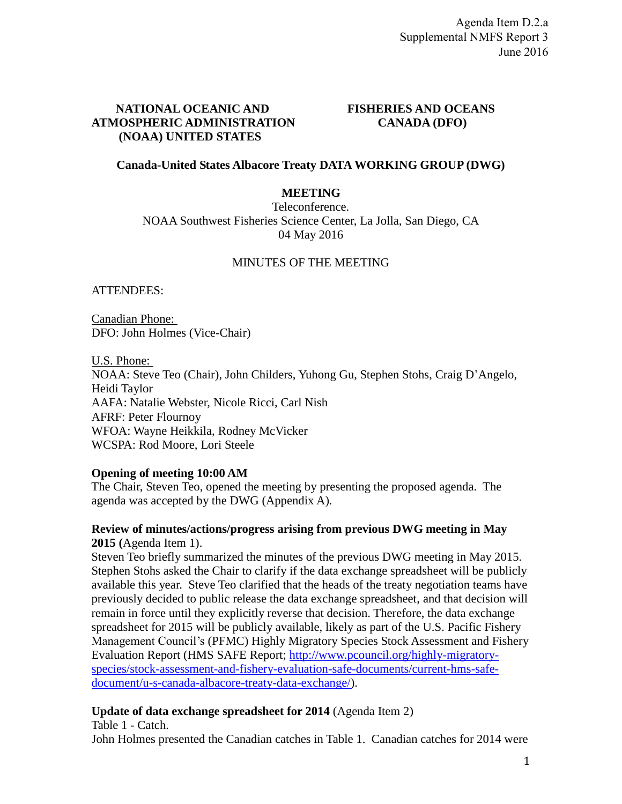## **NATIONAL OCEANIC AND FISHERIES AND OCEANS ATMOSPHERIC ADMINISTRATION CANADA (DFO) (NOAA) UNITED STATES**

## **Canada-United States Albacore Treaty DATA WORKING GROUP (DWG)**

## **MEETING**

Teleconference. NOAA Southwest Fisheries Science Center, La Jolla, San Diego, CA 04 May 2016

## MINUTES OF THE MEETING

ATTENDEES:

Canadian Phone: DFO: John Holmes (Vice-Chair)

U.S. Phone: NOAA: Steve Teo (Chair), John Childers, Yuhong Gu, Stephen Stohs, Craig D'Angelo, Heidi Taylor AAFA: Natalie Webster, Nicole Ricci, Carl Nish AFRF: Peter Flournoy WFOA: Wayne Heikkila, Rodney McVicker WCSPA: Rod Moore, Lori Steele

#### **Opening of meeting 10:00 AM**

The Chair, Steven Teo, opened the meeting by presenting the proposed agenda. The agenda was accepted by the DWG (Appendix A).

## **Review of minutes/actions/progress arising from previous DWG meeting in May 2015 (**Agenda Item 1).

Steven Teo briefly summarized the minutes of the previous DWG meeting in May 2015. Stephen Stohs asked the Chair to clarify if the data exchange spreadsheet will be publicly available this year. Steve Teo clarified that the heads of the treaty negotiation teams have previously decided to public release the data exchange spreadsheet, and that decision will remain in force until they explicitly reverse that decision. Therefore, the data exchange spreadsheet for 2015 will be publicly available, likely as part of the U.S. Pacific Fishery Management Council's (PFMC) Highly Migratory Species Stock Assessment and Fishery Evaluation Report (HMS SAFE Report; [http://www.pcouncil.org/highly-migratory](http://www.pcouncil.org/highly-migratory-species/stock-assessment-and-fishery-evaluation-safe-documents/current-hms-safe-document/u-s-canada-albacore-treaty-data-exchange/)[species/stock-assessment-and-fishery-evaluation-safe-documents/current-hms-safe](http://www.pcouncil.org/highly-migratory-species/stock-assessment-and-fishery-evaluation-safe-documents/current-hms-safe-document/u-s-canada-albacore-treaty-data-exchange/)[document/u-s-canada-albacore-treaty-data-exchange/\)](http://www.pcouncil.org/highly-migratory-species/stock-assessment-and-fishery-evaluation-safe-documents/current-hms-safe-document/u-s-canada-albacore-treaty-data-exchange/).

# **Update of data exchange spreadsheet for 2014** (Agenda Item 2)

Table 1 - Catch.

John Holmes presented the Canadian catches in Table 1. Canadian catches for 2014 were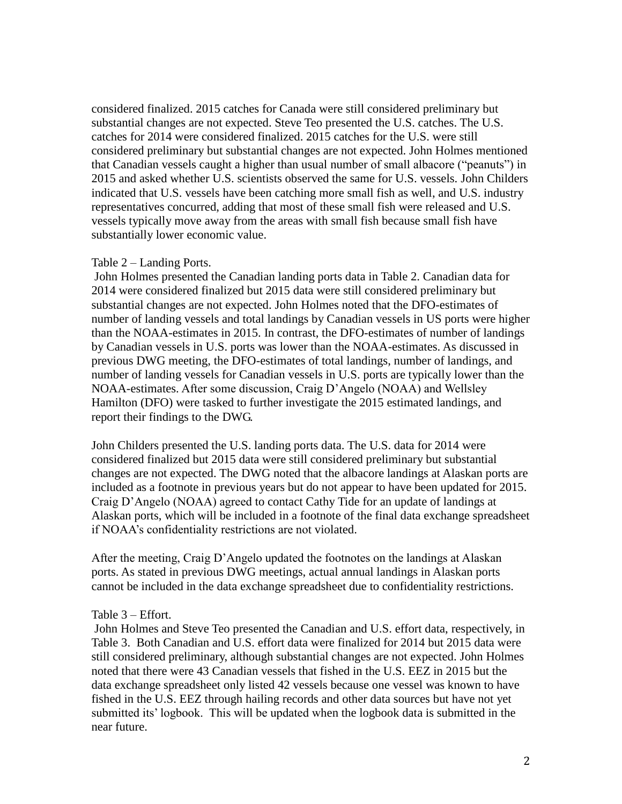considered finalized. 2015 catches for Canada were still considered preliminary but substantial changes are not expected. Steve Teo presented the U.S. catches. The U.S. catches for 2014 were considered finalized. 2015 catches for the U.S. were still considered preliminary but substantial changes are not expected. John Holmes mentioned that Canadian vessels caught a higher than usual number of small albacore ("peanuts") in 2015 and asked whether U.S. scientists observed the same for U.S. vessels. John Childers indicated that U.S. vessels have been catching more small fish as well, and U.S. industry representatives concurred, adding that most of these small fish were released and U.S. vessels typically move away from the areas with small fish because small fish have substantially lower economic value.

#### Table 2 – Landing Ports.

John Holmes presented the Canadian landing ports data in Table 2. Canadian data for 2014 were considered finalized but 2015 data were still considered preliminary but substantial changes are not expected. John Holmes noted that the DFO-estimates of number of landing vessels and total landings by Canadian vessels in US ports were higher than the NOAA-estimates in 2015. In contrast, the DFO-estimates of number of landings by Canadian vessels in U.S. ports was lower than the NOAA-estimates. As discussed in previous DWG meeting, the DFO-estimates of total landings, number of landings, and number of landing vessels for Canadian vessels in U.S. ports are typically lower than the NOAA-estimates. After some discussion, Craig D'Angelo (NOAA) and Wellsley Hamilton (DFO) were tasked to further investigate the 2015 estimated landings, and report their findings to the DWG.

John Childers presented the U.S. landing ports data. The U.S. data for 2014 were considered finalized but 2015 data were still considered preliminary but substantial changes are not expected. The DWG noted that the albacore landings at Alaskan ports are included as a footnote in previous years but do not appear to have been updated for 2015. Craig D'Angelo (NOAA) agreed to contact Cathy Tide for an update of landings at Alaskan ports, which will be included in a footnote of the final data exchange spreadsheet if NOAA's confidentiality restrictions are not violated.

After the meeting, Craig D'Angelo updated the footnotes on the landings at Alaskan ports. As stated in previous DWG meetings, actual annual landings in Alaskan ports cannot be included in the data exchange spreadsheet due to confidentiality restrictions.

#### Table 3 – Effort.

John Holmes and Steve Teo presented the Canadian and U.S. effort data, respectively, in Table 3. Both Canadian and U.S. effort data were finalized for 2014 but 2015 data were still considered preliminary, although substantial changes are not expected. John Holmes noted that there were 43 Canadian vessels that fished in the U.S. EEZ in 2015 but the data exchange spreadsheet only listed 42 vessels because one vessel was known to have fished in the U.S. EEZ through hailing records and other data sources but have not yet submitted its' logbook. This will be updated when the logbook data is submitted in the near future.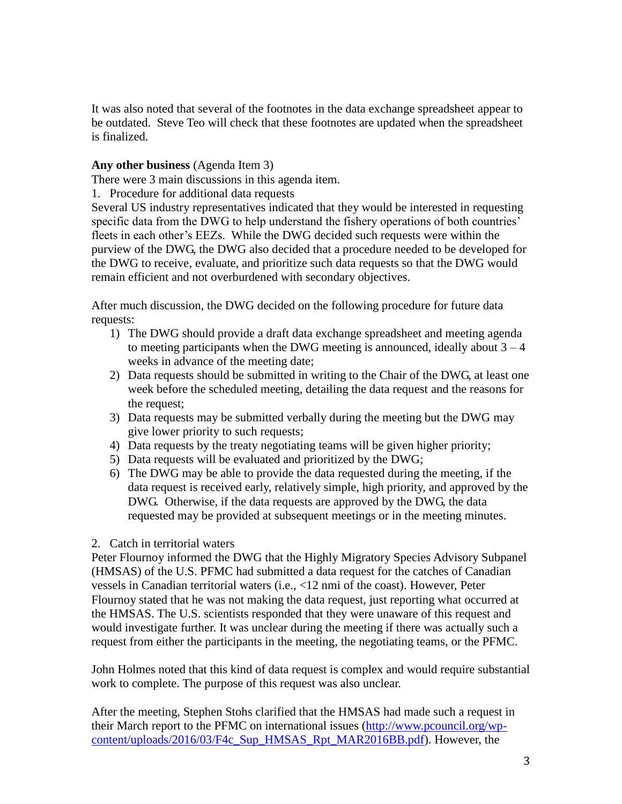It was also noted that several of the footnotes in the data exchange spreadsheet appear to be outdated. Steve Teo will check that these footnotes are updated when the spreadsheet is finalized.

## **Any other business** (Agenda Item 3)

There were 3 main discussions in this agenda item.

1. Procedure for additional data requests

Several US industry representatives indicated that they would be interested in requesting specific data from the DWG to help understand the fishery operations of both countries' fleets in each other's EEZs. While the DWG decided such requests were within the purview of the DWG, the DWG also decided that a procedure needed to be developed for the DWG to receive, evaluate, and prioritize such data requests so that the DWG would remain efficient and not overburdened with secondary objectives.

After much discussion, the DWG decided on the following procedure for future data requests:

- 1) The DWG should provide a draft data exchange spreadsheet and meeting agenda to meeting participants when the DWG meeting is announced, ideally about  $3 - 4$ weeks in advance of the meeting date;
- 2) Data requests should be submitted in writing to the Chair of the DWG, at least one week before the scheduled meeting, detailing the data request and the reasons for the request;
- 3) Data requests may be submitted verbally during the meeting but the DWG may give lower priority to such requests;
- 4) Data requests by the treaty negotiating teams will be given higher priority;
- 5) Data requests will be evaluated and prioritized by the DWG;
- 6) The DWG may be able to provide the data requested during the meeting, if the data request is received early, relatively simple, high priority, and approved by the DWG. Otherwise, if the data requests are approved by the DWG, the data requested may be provided at subsequent meetings or in the meeting minutes.

#### 2. Catch in territorial waters

Peter Flournoy informed the DWG that the Highly Migratory Species Advisory Subpanel (HMSAS) of the U.S. PFMC had submitted a data request for the catches of Canadian vessels in Canadian territorial waters (i.e., <12 nmi of the coast). However, Peter Flournoy stated that he was not making the data request, just reporting what occurred at the HMSAS. The U.S. scientists responded that they were unaware of this request and would investigate further. It was unclear during the meeting if there was actually such a request from either the participants in the meeting, the negotiating teams, or the PFMC.

John Holmes noted that this kind of data request is complex and would require substantial work to complete. The purpose of this request was also unclear.

After the meeting, Stephen Stohs clarified that the HMSAS had made such a request in their March report to the PFMC on international issues [\(http://www.pcouncil.org/wp](http://www.pcouncil.org/wp-content/uploads/2016/03/F4c_Sup_HMSAS_Rpt_MAR2016BB.pdf)[content/uploads/2016/03/F4c\\_Sup\\_HMSAS\\_Rpt\\_MAR2016BB.pdf\)](http://www.pcouncil.org/wp-content/uploads/2016/03/F4c_Sup_HMSAS_Rpt_MAR2016BB.pdf). However, the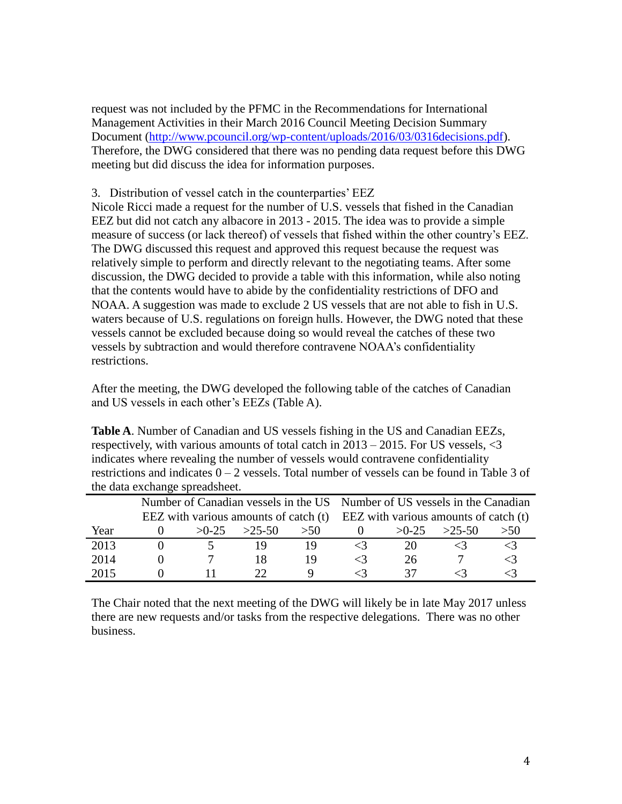request was not included by the PFMC in the Recommendations for International Management Activities in their March 2016 Council Meeting Decision Summary Document [\(http://www.pcouncil.org/wp-content/uploads/2016/03/0316decisions.pdf\)](http://www.pcouncil.org/wp-content/uploads/2016/03/0316decisions.pdf). Therefore, the DWG considered that there was no pending data request before this DWG meeting but did discuss the idea for information purposes.

## 3. Distribution of vessel catch in the counterparties' EEZ

Nicole Ricci made a request for the number of U.S. vessels that fished in the Canadian EEZ but did not catch any albacore in 2013 - 2015. The idea was to provide a simple measure of success (or lack thereof) of vessels that fished within the other country's EEZ. The DWG discussed this request and approved this request because the request was relatively simple to perform and directly relevant to the negotiating teams. After some discussion, the DWG decided to provide a table with this information, while also noting that the contents would have to abide by the confidentiality restrictions of DFO and NOAA. A suggestion was made to exclude 2 US vessels that are not able to fish in U.S. waters because of U.S. regulations on foreign hulls. However, the DWG noted that these vessels cannot be excluded because doing so would reveal the catches of these two vessels by subtraction and would therefore contravene NOAA's confidentiality restrictions.

After the meeting, the DWG developed the following table of the catches of Canadian and US vessels in each other's EEZs (Table A).

**Table A**. Number of Canadian and US vessels fishing in the US and Canadian EEZs, respectively, with various amounts of total catch in 2013 – 2015. For US vessels, <3 indicates where revealing the number of vessels would contravene confidentiality restrictions and indicates  $0 - 2$  vessels. Total number of vessels can be found in Table 3 of the data exchange spreadsheet.

|      |         |          |      | Number of Canadian vessels in the US Number of US vessels in the Canadian       |         |          |     |  |  |  |  |
|------|---------|----------|------|---------------------------------------------------------------------------------|---------|----------|-----|--|--|--|--|
|      |         |          |      | EEZ with various amounts of catch $(t)$ EEZ with various amounts of catch $(t)$ |         |          |     |  |  |  |  |
| Year | $>0-25$ | $>25-50$ | > 50 |                                                                                 | $>0-25$ | $>25-50$ | >50 |  |  |  |  |
| 2013 |         |          |      |                                                                                 |         |          |     |  |  |  |  |
| 2014 |         |          |      |                                                                                 | 26      |          |     |  |  |  |  |
| 2015 |         |          |      |                                                                                 |         |          |     |  |  |  |  |

The Chair noted that the next meeting of the DWG will likely be in late May 2017 unless there are new requests and/or tasks from the respective delegations. There was no other business.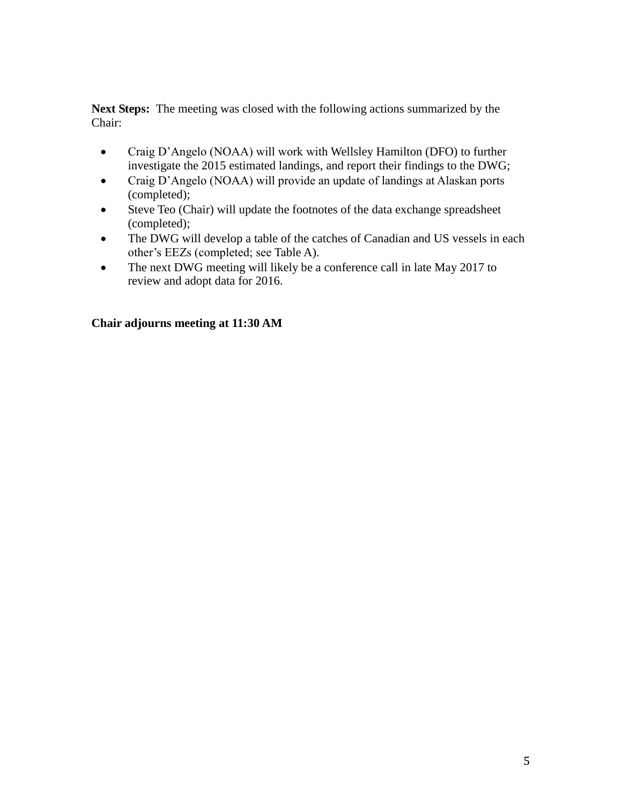**Next Steps:** The meeting was closed with the following actions summarized by the Chair:

- Craig D'Angelo (NOAA) will work with Wellsley Hamilton (DFO) to further investigate the 2015 estimated landings, and report their findings to the DWG;
- Craig D'Angelo (NOAA) will provide an update of landings at Alaskan ports (completed);
- Steve Teo (Chair) will update the footnotes of the data exchange spreadsheet (completed);
- The DWG will develop a table of the catches of Canadian and US vessels in each other's EEZs (completed; see Table A).
- The next DWG meeting will likely be a conference call in late May 2017 to review and adopt data for 2016.

# **Chair adjourns meeting at 11:30 AM**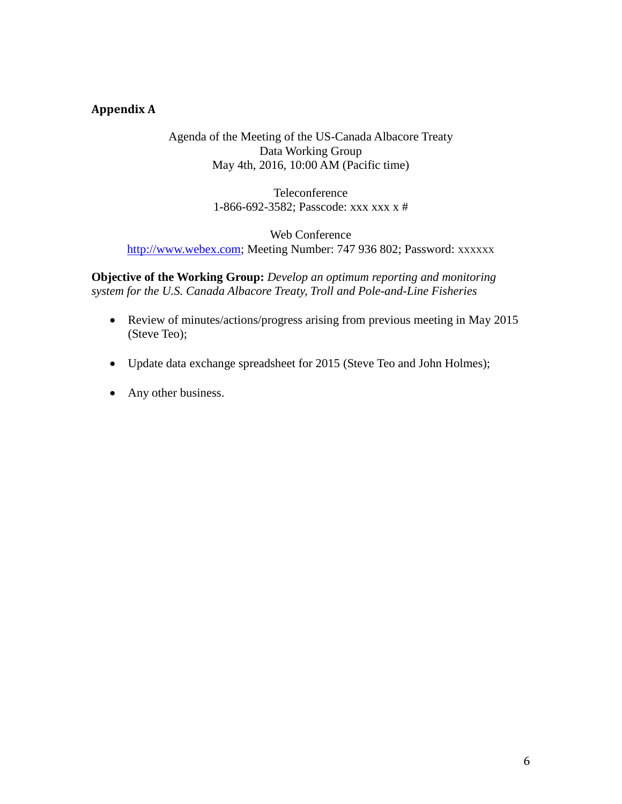# **Appendix A**

#### Agenda of the Meeting of the US-Canada Albacore Treaty Data Working Group May 4th, 2016, 10:00 AM (Pacific time)

Teleconference 1-866-692-3582; Passcode: xxx xxx x #

## Web Conference [http://www.webex.com;](http://www.webex.com/) Meeting Number: 747 936 802; Password: xxxxxx

**Objective of the Working Group:** *Develop an optimum reporting and monitoring system for the U.S. Canada Albacore Treaty, Troll and Pole-and-Line Fisheries*

- Review of minutes/actions/progress arising from previous meeting in May 2015 (Steve Teo);
- Update data exchange spreadsheet for 2015 (Steve Teo and John Holmes);
- Any other business.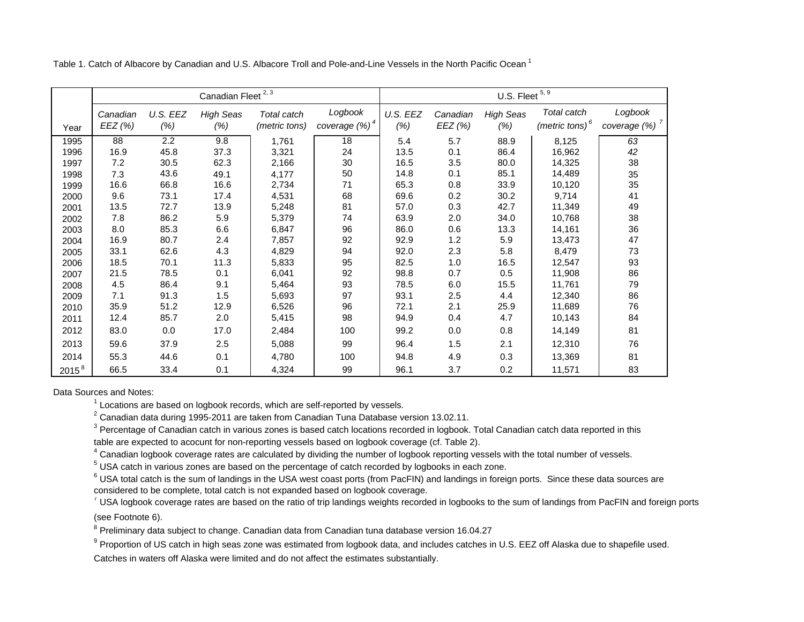Table 1. Catch of Albacore by Canadian and U.S. Albacore Troll and Pole-and-Line Vessels in the North Pacific Ocean <sup>1</sup>

|            |          |          | Canadian Fleet <sup>2, 3</sup> |               |                           | U.S. Fleet $5, 9$ |          |                  |                   |                           |  |  |  |  |
|------------|----------|----------|--------------------------------|---------------|---------------------------|-------------------|----------|------------------|-------------------|---------------------------|--|--|--|--|
|            | Canadian | U.S. EEZ | <b>High Seas</b>               | Total catch   | Logbook                   | U.S. EEZ          | Canadian | <b>High Seas</b> | Total catch       | Logbook                   |  |  |  |  |
| Year       | EEZ (%)  | (% )     | (%)                            | (metric tons) | coverage (%) <sup>4</sup> | (%)               | EEZ (%)  | (% )             | (metric tons) $6$ | coverage (%) <sup>7</sup> |  |  |  |  |
| 1995       | 88       | 2.2      | 9.8                            | 1,761         | 18                        | 5.4               | 5.7      | 88.9             | 8,125             | 63                        |  |  |  |  |
| 1996       | 16.9     | 45.8     | 37.3                           | 3,321         | 24                        | 13.5              | 0.1      | 86.4             | 16,962            | 42                        |  |  |  |  |
| 1997       | 7.2      | 30.5     | 62.3                           | 2,166         | 30                        | 16.5              | 3.5      | 80.0             | 14,325            | 38                        |  |  |  |  |
| 1998       | 7.3      | 43.6     | 49.1                           | 4,177         | 50                        | 14.8              | 0.1      | 85.1             | 14,489            | 35                        |  |  |  |  |
| 1999       | 16.6     | 66.8     | 16.6                           | 2,734         | 71                        | 65.3              | 0.8      | 33.9             | 10,120            | 35                        |  |  |  |  |
| 2000       | 9.6      | 73.1     | 17.4                           | 4,531         | 68                        | 69.6              | 0.2      | 30.2             | 9,714             | 41                        |  |  |  |  |
| 2001       | 13.5     | 72.7     | 13.9                           | 5,248         | 81                        | 57.0              | 0.3      | 42.7             | 11,349            | 49                        |  |  |  |  |
| 2002       | 7.8      | 86.2     | 5.9                            | 5,379         | 74                        | 63.9              | 2.0      | 34.0             | 10,768            | 38                        |  |  |  |  |
| 2003       | 8.0      | 85.3     | 6.6                            | 6,847         | 96                        | 86.0              | 0.6      | 13.3             | 14,161            | 36                        |  |  |  |  |
| 2004       | 16.9     | 80.7     | 2.4                            | 7,857         | 92                        | 92.9              | 1.2      | 5.9              | 13,473            | 47                        |  |  |  |  |
| 2005       | 33.1     | 62.6     | 4.3                            | 4,829         | 94                        | 92.0              | 2.3      | 5.8              | 8,479             | 73                        |  |  |  |  |
| 2006       | 18.5     | 70.1     | 11.3                           | 5,833         | 95                        | 82.5              | 1.0      | 16.5             | 12,547            | 93                        |  |  |  |  |
| 2007       | 21.5     | 78.5     | 0.1                            | 6,041         | 92                        | 98.8              | 0.7      | 0.5              | 11,908            | 86                        |  |  |  |  |
| 2008       | 4.5      | 86.4     | 9.1                            | 5,464         | 93                        | 78.5              | 6.0      | 15.5             | 11,761            | 79                        |  |  |  |  |
| 2009       | 7.1      | 91.3     | 1.5                            | 5,693         | 97                        | 93.1              | 2.5      | 4.4              | 12,340            | 86                        |  |  |  |  |
| 2010       | 35.9     | 51.2     | 12.9                           | 6,526         | 96                        | 72.1              | 2.1      | 25.9             | 11,689            | 76                        |  |  |  |  |
| 2011       | 12.4     | 85.7     | 2.0                            | 5,415         | 98                        | 94.9              | 0.4      | 4.7              | 10,143            | 84                        |  |  |  |  |
| 2012       | 83.0     | 0.0      | 17.0                           | 2,484         | 100                       | 99.2              | 0.0      | 0.8              | 14,149            | 81                        |  |  |  |  |
| 2013       | 59.6     | 37.9     | 2.5                            | 5,088         | 99                        | 96.4              | 1.5      | 2.1              | 12,310            | 76                        |  |  |  |  |
| 2014       | 55.3     | 44.6     | 0.1                            | 4,780         | 100                       | 94.8              | 4.9      | 0.3              | 13,369            | 81                        |  |  |  |  |
| $2015^{8}$ | 66.5     | 33.4     | 0.1                            | 4,324         | 99                        | 96.1              | 3.7      | 0.2              | 11,571            | 83                        |  |  |  |  |

Data Sources and Notes:

 $1$  Locations are based on logbook records, which are self-reported by vessels.

 $2$  Canadian data during 1995-2011 are taken from Canadian Tuna Database version 13.02.11.

 $3$  Percentage of Canadian catch in various zones is based catch locations recorded in logbook. Total Canadian catch data reported in this table are expected to acocunt for non-reporting vessels based on logbook coverage (cf. Table 2).

<sup>4</sup> Canadian logbook coverage rates are calculated by dividing the number of logbook reporting vessels with the total number of vessels.

<sup>5</sup> USA catch in various zones are based on the percentage of catch recorded by logbooks in each zone.

<sup>6</sup> USA total catch is the sum of landings in the USA west coast ports (from PacFIN) and landings in foreign ports. Since these data sources are considered to be complete, total catch is not expanded based on logbook coverage.

7 USA logbook coverage rates are based on the ratio of trip landings weights recorded in logbooks to the sum of landings from PacFIN and foreign ports

(see Footnote 6).

<sup>8</sup> Preliminary data subject to change. Canadian data from Canadian tuna database version 16.04.27

<sup>9</sup> Proportion of US catch in high seas zone was estimated from logbook data, and includes catches in U.S. EEZ off Alaska due to shapefile used. Catches in waters off Alaska were limited and do not affect the estimates substantially.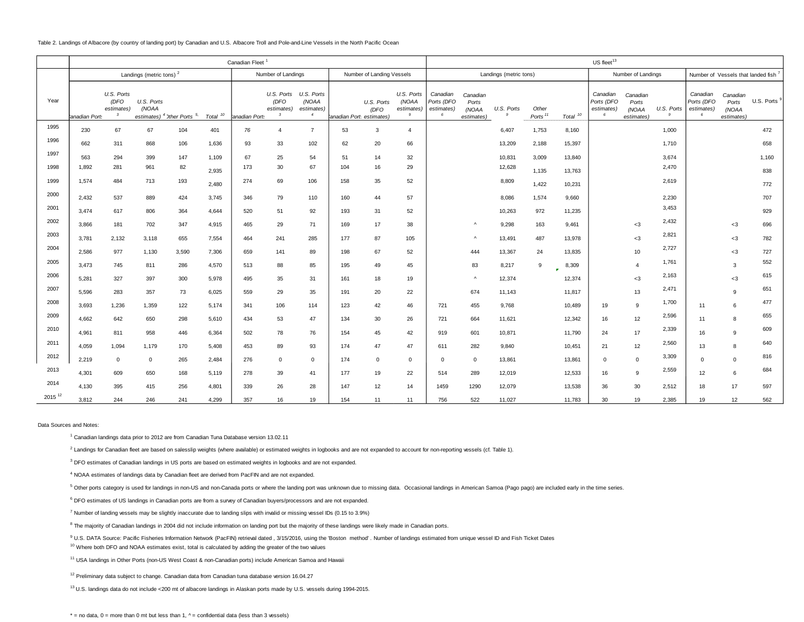Table 2. Landings of Albacore (by country of landing port) by Canadian and U.S. Albacore Troll and Pole-and-Line Vessels in the North Pacific Ocean

|                    | Canadian Fleet <sup>1</sup>         |                                                  |                     |                                                   |                     |              |                                                             |                                                     |     | US fleet <sup>13</sup>                        |                                        |                                           |                                          |            |                     |                     |                                           |                                         |                              |                                           |                                          |            |
|--------------------|-------------------------------------|--------------------------------------------------|---------------------|---------------------------------------------------|---------------------|--------------|-------------------------------------------------------------|-----------------------------------------------------|-----|-----------------------------------------------|----------------------------------------|-------------------------------------------|------------------------------------------|------------|---------------------|---------------------|-------------------------------------------|-----------------------------------------|------------------------------|-------------------------------------------|------------------------------------------|------------|
|                    | Landings (metric tons) <sup>2</sup> |                                                  |                     |                                                   |                     |              | Number of Landings<br>Number of Landing Vessels             |                                                     |     |                                               |                                        | Landings (metric tons)                    |                                          |            |                     | Number of Landings  |                                           | Number of Vessels that landed fish 7    |                              |                                           |                                          |            |
| Year               | anadian Port                        | U.S. Ports<br>(DFO<br>estimates)<br>$\mathbf{3}$ | U.S. Ports<br>(NOAA | estimates) <sup>4</sup> Other Ports <sup>5,</sup> | Total <sup>10</sup> | anadian Port | U.S. Ports<br>(DFO<br>estimates)<br>$\overline{\mathbf{3}}$ | U.S. Ports<br>(NOAA<br>estimates)<br>$\overline{4}$ |     | U.S. Ports<br>(DFO<br>anadian Port estimates) | U.S. Ports<br>(NOAA<br>estimates)<br>9 | Canadian<br>Ports (DFO<br>estimates)<br>6 | Canadian<br>Ports<br>(NOAA<br>estimates) | U.S. Ports | Other<br>Ports $11$ | Total <sup>10</sup> | Canadian<br>Ports (DFO<br>estimates)<br>6 | Canadian<br>Ports<br>(NOAA<br>estimates | U.S. Ports<br>$\overline{Q}$ | Canadian<br>Ports (DFO<br>estimates)<br>6 | Canadian<br>Ports<br>(NOAA<br>estimates) | U.S. Ports |
| 1995               | 230                                 | 67                                               | 67                  | 104                                               | 401                 | 76           | $\overline{4}$                                              | $\overline{7}$                                      | 53  | $\mathbf{3}$                                  | $\overline{4}$                         |                                           |                                          | 6,407      | 1,753               | 8,160               |                                           |                                         | 1,000                        |                                           |                                          | 472        |
| 1996               | 662                                 | 311                                              | 868                 | 106                                               | 1,636               | 93           | 33                                                          | 102                                                 | 62  | 20                                            | 66                                     |                                           |                                          | 13,209     | 2,188               | 15,397              |                                           |                                         | 1,710                        |                                           |                                          | 658        |
| 1997               | 563                                 | 294                                              | 399                 | 147                                               | 1,109               | 67           | 25                                                          | 54                                                  | 51  | 14                                            | 32                                     |                                           |                                          | 10,831     | 3,009               | 13,840              |                                           |                                         | 3,674                        |                                           |                                          | 1,160      |
| 1998               | 1,892                               | 281                                              | 961                 | 82                                                | 2,935               | 173          | 30                                                          | 67                                                  | 104 | 16                                            | 29                                     |                                           |                                          | 12,628     | 1,135               | 13,763              |                                           |                                         | 2,470                        |                                           |                                          | 838        |
| 1999               | 1.574                               | 484                                              | 713                 | 193                                               | 2,480               | 274          | 69                                                          | 106                                                 | 158 | 35                                            | 52                                     |                                           |                                          | 8,809      | 1,422               | 10,231              |                                           |                                         | 2,619                        |                                           |                                          | 772        |
| 2000               | 2,432                               | 537                                              | 889                 | 424                                               | 3,745               | 346          | 79                                                          | 110                                                 | 160 | 44                                            | 57                                     |                                           |                                          | 8,086      | 1,574               | 9,660               |                                           |                                         | 2,230                        |                                           |                                          | 707        |
| 2001               | 3,474                               | 617                                              | 806                 | 364                                               | 4,644               | 520          | 51                                                          | 92                                                  | 193 | 31                                            | 52                                     |                                           |                                          | 10,263     | 972                 | 11,235              |                                           |                                         | 3,453                        |                                           |                                          | 929        |
| 2002               | 3.866                               | 181                                              | 702                 | 347                                               | 4,915               | 465          | 29                                                          | 71                                                  | 169 | 17                                            | 38                                     |                                           | Λ                                        | 9,298      | 163                 | 9,461               |                                           | $<$ 3                                   | 2,432                        |                                           | $<$ 3                                    | 696        |
| 2003               | 3,781                               | 2,132                                            | 3,118               | 655                                               | 7,554               | 464          | 241                                                         | 285                                                 | 177 | 87                                            | 105                                    |                                           | Λ                                        | 13,491     | 487                 | 13,978              |                                           | $<$ 3                                   | 2,821                        |                                           | $<$ 3                                    | 782        |
| 2004               | 2,586                               | 977                                              | 1,130               | 3,590                                             | 7,306               | 659          | 141                                                         | 89                                                  | 198 | 67                                            | 52                                     |                                           | 444                                      | 13,367     | 24                  | 13,835              |                                           | 10                                      | 2,727                        |                                           | $<$ 3                                    | 727        |
| 2005               | 3,473                               | 745                                              | 811                 | 286                                               | 4,570               | 513          | 88                                                          | 85                                                  | 195 | 49                                            | 45                                     |                                           | 83                                       | 8,217      | 9                   | 8,309               |                                           | $\overline{A}$                          | 1,761                        |                                           | 3                                        | 552        |
| 2006               | 5,281                               | 327                                              | 397                 | 300                                               | 5,978               | 495          | 35                                                          | 31                                                  | 161 | 18                                            | 19                                     |                                           | $\boldsymbol{\wedge}$                    | 12,374     |                     | $\bullet$<br>12,374 |                                           | $3$                                     | 2,163                        |                                           | $<$ 3                                    | 615        |
| 2007               | 5,596                               | 283                                              | 357                 | 73                                                | 6,025               | 559          | 29                                                          | 35                                                  | 191 | 20                                            | 22                                     |                                           | 674                                      | 11,143     |                     | 11,817              |                                           | 13                                      | 2,471                        |                                           |                                          | 651        |
| 2008               | 3,693                               | 1,236                                            | 1,359               | 122                                               | 5,174               | 341          | 106                                                         | 114                                                 | 123 | 42                                            | 46                                     | 721                                       | 455                                      | 9,768      |                     | 10,489              | 19                                        | 9                                       | 1,700                        | 11                                        | 6                                        | 477        |
| 2009               | 4,662                               | 642                                              | 650                 | 298                                               | 5,610               | 434          | 53                                                          | 47                                                  | 134 | 30                                            | 26                                     | 721                                       | 664                                      | 11,621     |                     | 12,342              | 16                                        | 12                                      | 2,596                        | 11                                        | R                                        | 655        |
| 2010               | 4,961                               | 811                                              | 958                 | 446                                               | 6,364               | 502          | 78                                                          | 76                                                  | 154 | 45                                            | 42                                     | 919                                       | 601                                      | 10,871     |                     | 11,790              | 24                                        | 17                                      | 2,339                        | 16                                        | 9                                        | 609        |
| 2011               | 4,059                               | 1,094                                            | 1,179               | 170                                               | 5,408               | 453          | 89                                                          | 93                                                  | 174 | 47                                            | 47                                     | 611                                       | 282                                      | 9,840      |                     | 10,451              | 21                                        | 12                                      | 2,560                        | 13                                        | 8                                        | 640        |
| 2012               | 2,219                               | $\overline{0}$                                   | $\mathbf 0$         | 265                                               | 2,484               | 276          | $\overline{0}$                                              | $\mathbf 0$                                         | 174 | $\mathbf 0$                                   | $\mathbf 0$                            | $\overline{0}$                            | $\mathbf 0$                              | 13,861     |                     | 13,861              | $\mathbf 0$                               | $\overline{0}$                          | 3,309                        | $\Omega$                                  | $\Omega$                                 | 816        |
| 2013               | 4,301                               | 609                                              | 650                 | 168                                               | 5,119               | 278          | 39                                                          | 41                                                  | 177 | 19                                            | 22                                     | 514                                       | 289                                      | 12,019     |                     | 12,533              | 16                                        | 9                                       | 2,559                        | 12                                        | 6                                        | 684        |
| 2014               | 4,130                               | 395                                              | 415                 | 256                                               | 4,801               | 339          | 26                                                          | 28                                                  | 147 | 12                                            | 14                                     | 1459                                      | 1290                                     | 12,079     |                     | 13,538              | 36                                        | 30                                      | 2,512                        | 18                                        | 17                                       | 597        |
| 2015 <sup>12</sup> | 3,812                               | 244                                              | 246                 | 241                                               | 4,299               | 357          | 16                                                          | 19                                                  | 154 | 11                                            | 11                                     | 756                                       | 522                                      | 11,027     |                     | 11,783              | 30                                        | 19                                      | 2,385                        | 19                                        | 12                                       | 562        |

Data Sources and Notes:

<sup>1</sup> Canadian landings data prior to 2012 are from Canadian Tuna Database version 13.02.11

 $^2$  Landings for Canadian fleet are based on salesslip weights (where available) or estimated weights in logbooks and are not expanded to account for non-reporting vessels (cf. Table 1).

<sup>3</sup> DFO estimates of Canadian landings in US ports are based on estimated weights in logbooks and are not expanded.

4 NOAA estimates of landings data by Canadian fleet are derived from PacFIN and are not expanded.

<sup>5</sup> Other ports category is used for landings in non-US and non-Canada ports or where the landing port was unknown due to missing data. Occasional landings in American Samoa (Pago pago) are included early in the time serie

<sup>6</sup> DFO estimates of US landings in Canadian ports are from a survey of Canadian buyers/processors and are not expanded.

<sup>7</sup> Number of landing vessels may be slightly inaccurate due to landing slips with invalid or missing vessel IDs (0.15 to 3.9%)

<sup>8</sup> The majority of Canadian landings in 2004 did not include information on landing port but the majority of these landings were likely made in Canadian ports.

9 U.S. DATA Source: Pacific Fisheries Information Network (PacFIN) retrieval dated , 3/15/2016, using the 'Boston method' . Number of landings estimated from unique vessel ID and Fish Ticket Dates

<sup>10</sup> Where both DFO and NOAA estimates exist, total is calculated by adding the greater of the two values

<sup>11</sup> USA landings in Other Ports (non-US West Coast & non-Canadian ports) include American Samoa and Hawaii

<sup>12</sup> Preliminary data subject to change. Canadian data from Canadian tuna database version 16.04.27

<sup>13</sup> U.S. landings data do not include <200 mt of albacore landings in Alaskan ports made by U.S. vessels during 1994-2015.

 $* =$  no data,  $0 =$  more than 0 mt but less than 1,  $\wedge$  = confidential data (less than 3 vessels)